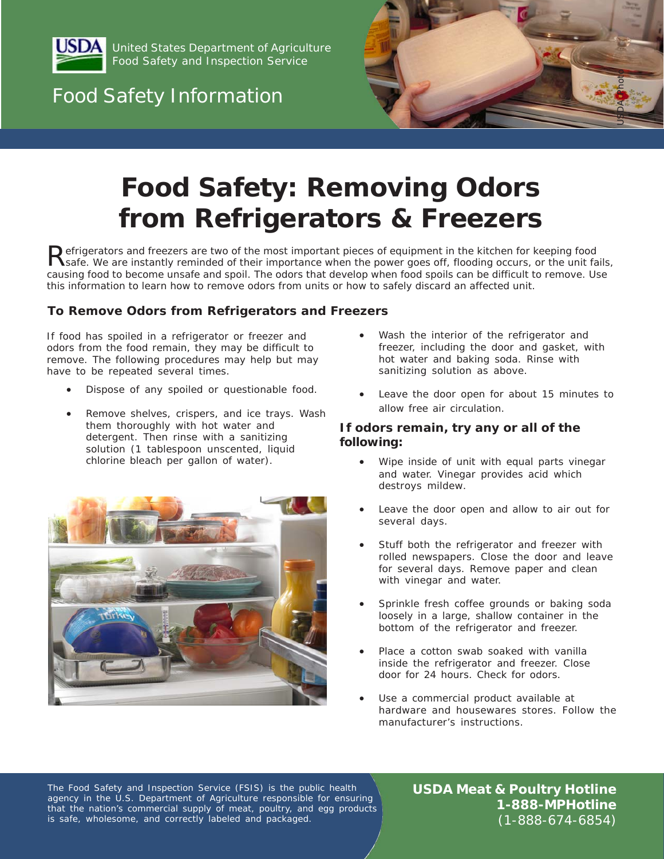

United States Department of Agriculture Food Safety and Inspection Service

# Food Safety Information



# **Food Safety: Removing Odors from Refrigerators & Freezers**

Publianer and freezers are two of the most important pieces of equipment in the kitchen for keeping food<br>Asafe. We are instantly reminded of their importance when the power goes off, flooding occurs, or the unit fails, *causing food to become unsafe and spoil. The odors that develop when food spoils can be difficult to remove. Use this information to learn how to remove odors from units or how to safely discard an affected unit.* 

### **To Remove Odors from Refrigerators and Freezers**

If food has spoiled in a refrigerator or freezer and odors from the food remain, they may be difficult to remove. The following procedures may help but may have to be repeated several times.

- Dispose of any spoiled or questionable food.
- Remove shelves, crispers, and ice trays. Wash them thoroughly with hot water and detergent. Then rinse with a sanitizing solution (1 tablespoon unscented, liquid chlorine bleach per gallon of water).



- Wash the interior of the refrigerator and freezer, including the door and gasket, with hot water and baking soda. Rinse with sanitizing solution as above.
- Leave the door open for about 15 minutes to allow free air circulation.

#### **If odors remain, try any or all of the following:**

- Wipe inside of unit with equal parts vinegar and water. Vinegar provides acid which destroys mildew.
- Leave the door open and allow to air out for several days.
- Stuff both the refrigerator and freezer with rolled newspapers. Close the door and leave for several days. Remove paper and clean with vinegar and water.
- Sprinkle fresh coffee grounds or baking soda loosely in a large, shallow container in the bottom of the refrigerator and freezer.
- Place a cotton swab soaked with vanilla inside the refrigerator and freezer. Close door for 24 hours. Check for odors.
- Use a commercial product available at hardware and housewares stores. Follow the manufacturer's instructions.

The Food Safety and Inspection Service (FSIS) is the public health agency in the U.S. Department of Agriculture responsible for ensuring that the nation's commercial supply of meat, poultry, and egg products is safe, wholesome, and correctly labeled and packaged.

**USDA Meat & Poultry Hotline 1-888-MPHotline**  (1-888-674-6854)